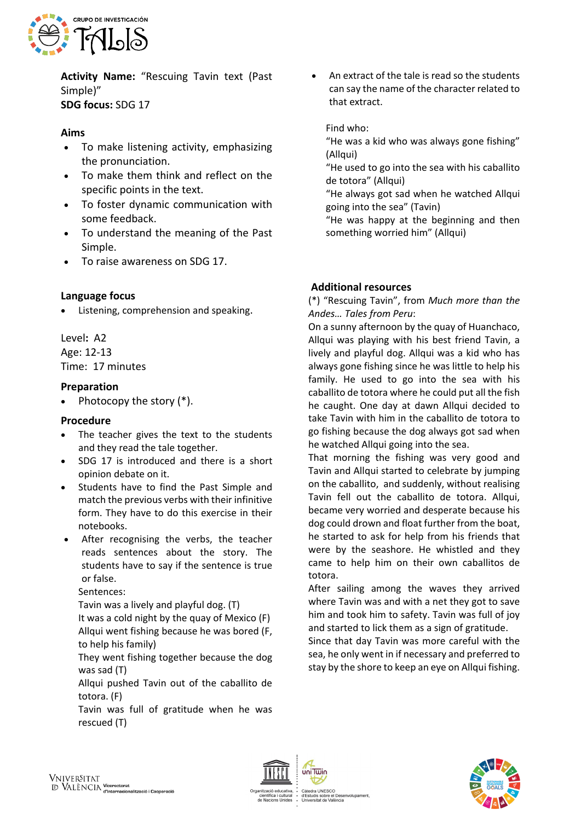

**Activity Name:** "Rescuing Tavin text (Past Simple)" **SDG focus:** SDG 17

# **Aims**

- To make listening activity, emphasizing the pronunciation.
- To make them think and reflect on the specific points in the text.
- To foster dynamic communication with some feedback.
- To understand the meaning of the Past Simple.
- To raise awareness on SDG 17.

### **Language focus**

Listening, comprehension and speaking.

Level**:** A2 Age: 12-13 Time: 17 minutes

### **Preparation**

• Photocopy the story  $(*)$ .

#### **Procedure**

- The teacher gives the text to the students and they read the tale together.
- SDG 17 is introduced and there is a short opinion debate on it.
- Students have to find the Past Simple and match the previous verbs with their infinitive form. They have to do this exercise in their notebooks.
- After recognising the verbs, the teacher reads sentences about the story. The students have to say if the sentence is true or false.

Sentences:

Tavin was a lively and playful dog. (T)

It was a cold night by the quay of Mexico (F) Allqui went fishing because he was bored (F, to help his family)

They went fishing together because the dog was sad (T)

Allqui pushed Tavin out of the caballito de totora. (F)

Tavin was full of gratitude when he was rescued (T)

• An extract of the tale is read so the students can say the name of the character related to that extract.

Find who:

"He was a kid who was always gone fishing" (Allqui)

"He used to go into the sea with his caballito de totora" (Allqui)

"He always got sad when he watched Allqui going into the sea" (Tavin)

"He was happy at the beginning and then something worried him" (Allqui)

## **Additional resources**

(\*) "Rescuing Tavin", from *Much more than the Andes… Tales from Peru*:

On a sunny afternoon by the quay of Huanchaco, Allqui was playing with his best friend Tavin, a lively and playful dog. Allqui was a kid who has always gone fishing since he was little to help his family. He used to go into the sea with his caballito de totora where he could put all the fish he caught. One day at dawn Allqui decided to take Tavin with him in the caballito de totora to go fishing because the dog always got sad when he watched Allqui going into the sea.

That morning the fishing was very good and Tavin and Allqui started to celebrate by jumping on the caballito, and suddenly, without realising Tavin fell out the caballito de totora. Allqui, became very worried and desperate because his dog could drown and float further from the boat, he started to ask for help from his friends that were by the seashore. He whistled and they came to help him on their own caballitos de totora.

After sailing among the waves they arrived where Tavin was and with a net they got to save him and took him to safety. Tavin was full of joy and started to lick them as a sign of gratitude.

Since that day Tavin was more careful with the sea, he only went in if necessary and preferred to stay by the shore to keep an eye on Allqui fishing.